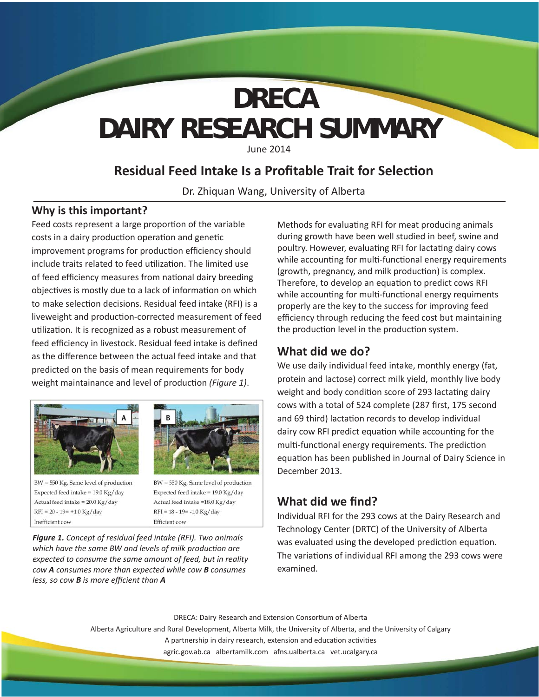# **DAIRY RESEARCH SUMMARY DRECA**

June 2014

# **Residual Feed Intake Is a Profitable Trait for Selection**

Dr. Zhiquan Wang, University of Alberta

#### **Why is this important?**

Feed costs represent a large proportion of the variable costs in a dairy production operation and genetic improvement programs for production efficiency should include traits related to feed utilization. The limited use of feed efficiency measures from national dairy breeding objectives is mostly due to a lack of information on which to make selection decisions. Residual feed intake (RFI) is a liveweight and production-corrected measurement of feed utilization. It is recognized as a robust measurement of feed efficiency in livestock. Residual feed intake is defined as the difference between the actual feed intake and that predicted on the basis of mean requirements for body weight maintainance and level of production (Figure 1).





BW = 550 Kg, Same level of production Expected feed intake = 19.0 Kg/day Actual feed intake = 20.0 Kg/day  $RFI = 20 - 19 = +1.0 Kg/day$ Inefficient cow

BW = 550 Kg, Same level of production Expected feed intake = 19.0 Kg/day Actual feed intake =18.0 Kg/day  $RFI = 18 - 19 = -1.0 Kg/day$ Efficient cow

*Figure 1. Concept of residual feed intake (RFI). Two animals which have the same BW and levels of milk production are expected to consume the same amount of feed, but in reality cow A consumes more than expected while cow B consumes less, so cow B is more effi cient than A*

Methods for evaluating RFI for meat producing animals during growth have been well studied in beef, swine and poultry. However, evaluating RFI for lactating dairy cows while accounting for multi-functional energy requirements (growth, pregnancy, and milk production) is complex. Therefore, to develop an equation to predict cows RFI while accounting for multi-functional energy requiments properly are the key to the success for improving feed efficiency through reducing the feed cost but maintaining the production level in the production system.

### **What did we do?**

We use daily individual feed intake, monthly energy (fat, protein and lactose) correct milk yield, monthly live body weight and body condition score of 293 lactating dairy cows with a total of 524 complete (287 first, 175 second and 69 third) lactation records to develop individual dairy cow RFI predict equation while accounting for the multi-functional energy requirements. The prediction equation has been published in Journal of Dairy Science in December 2013.

## **What did we find?**

Individual RFI for the 293 cows at the Dairy Research and Technology Center (DRTC) of the University of Alberta was evaluated using the developed prediction equation. The variations of individual RFI among the 293 cows were examined.

DRECA: Dairy Research and Extension Consortium of Alberta Alberta Agriculture and Rural Development, Alberta Milk, the University of Alberta, and the University of Calgary A partnership in dairy research, extension and education activities agric.gov.ab.ca albertamilk.com afns.ualberta.ca vet.ucalgary.ca